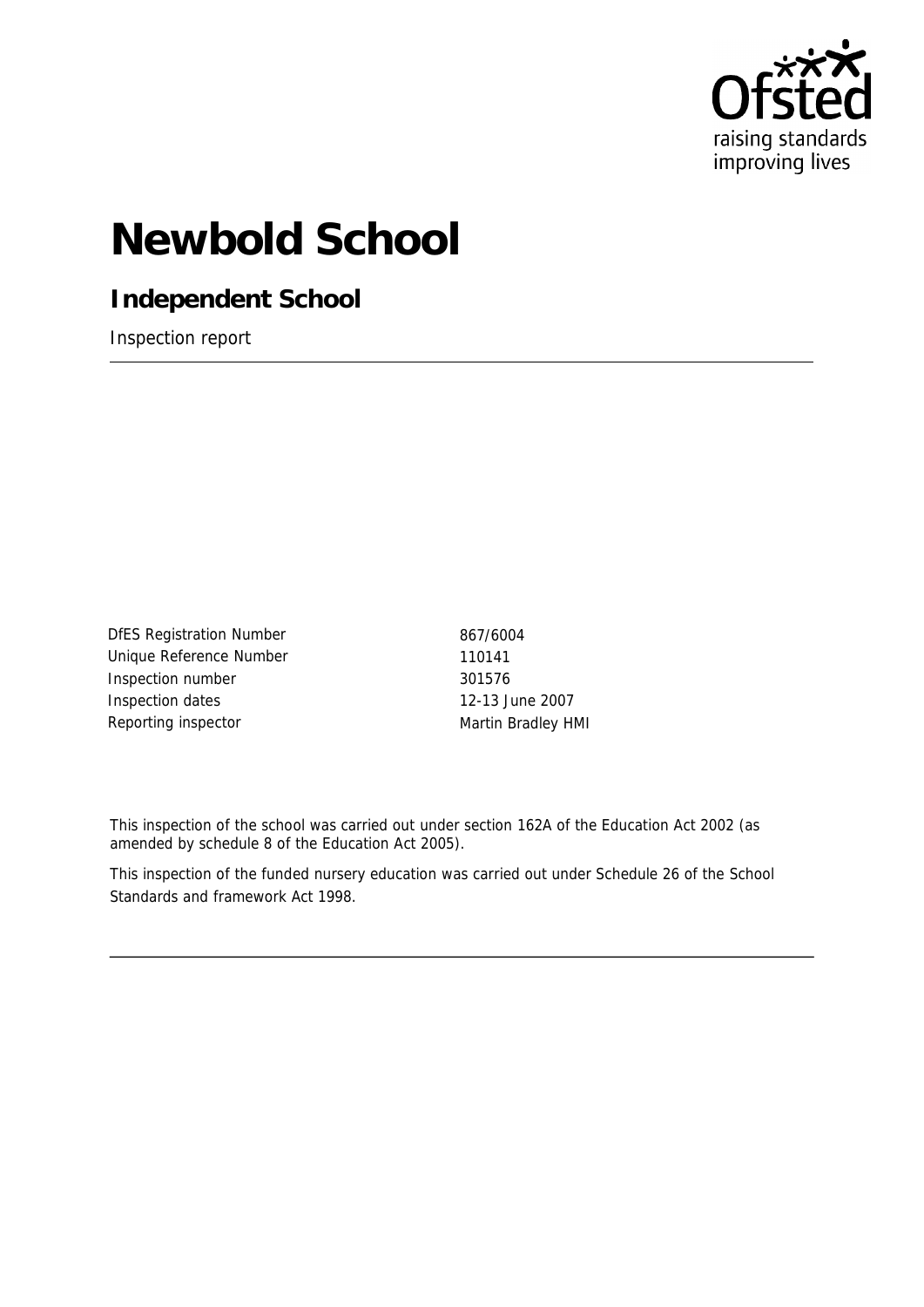

# **Newbold School**

**Independent School**

Inspection report

DfES Registration Number 867/6004 Unique Reference Number 110141 Inspection number 301576 Inspection dates 12-13 June 2007 Reporting inspector and a metal matrix of Martin Bradley HMI

This inspection of the school was carried out under section 162A of the Education Act 2002 (as amended by schedule 8 of the Education Act 2005).

This inspection of the funded nursery education was carried out under Schedule 26 of the School Standards and framework Act 1998.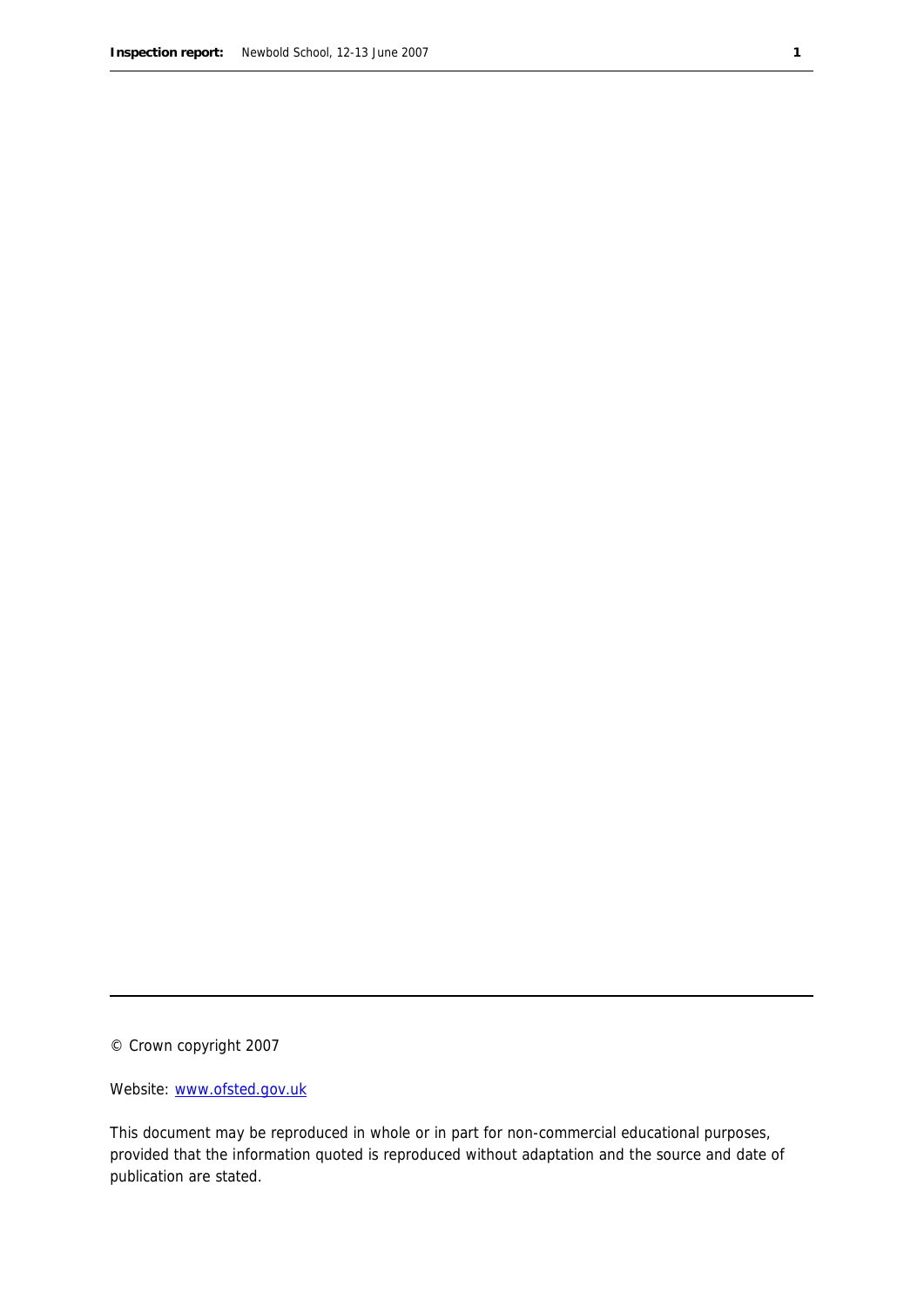© Crown copyright 2007

Website: www.ofsted.gov.uk

This document may be reproduced in whole or in part for non-commercial educational purposes, provided that the information quoted is reproduced without adaptation and the source and date of publication are stated.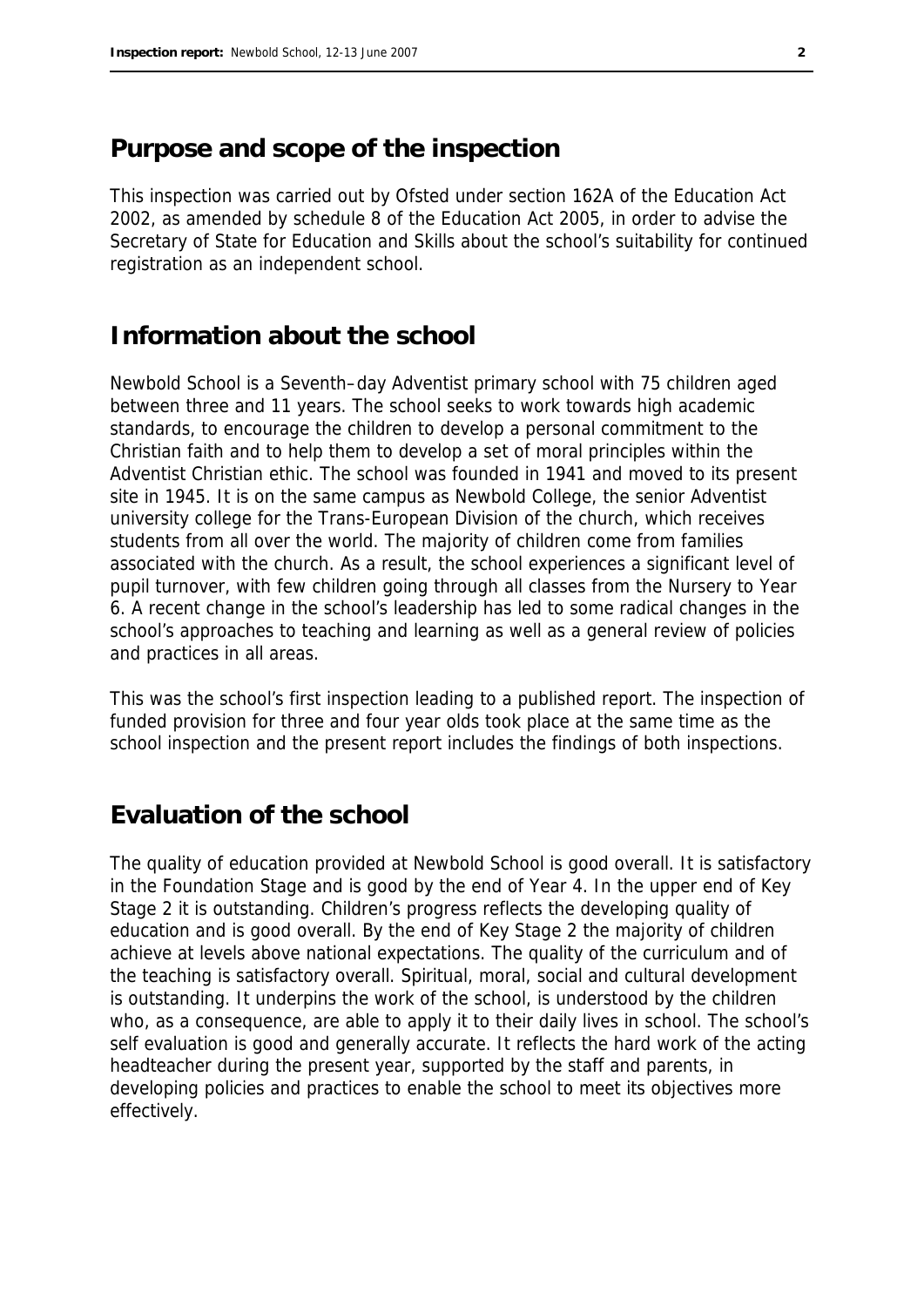#### **Purpose and scope of the inspection**

This inspection was carried out by Ofsted under section 162A of the Education Act 2002, as amended by schedule 8 of the Education Act 2005, in order to advise the Secretary of State for Education and Skills about the school's suitability for continued registration as an independent school.

#### **Information about the school**

Newbold School is a Seventh–day Adventist primary school with 75 children aged between three and 11 years. The school seeks to work towards high academic standards, to encourage the children to develop a personal commitment to the Christian faith and to help them to develop a set of moral principles within the Adventist Christian ethic. The school was founded in 1941 and moved to its present site in 1945. It is on the same campus as Newbold College, the senior Adventist university college for the Trans-European Division of the church, which receives students from all over the world. The majority of children come from families associated with the church. As a result, the school experiences a significant level of pupil turnover, with few children going through all classes from the Nursery to Year 6. A recent change in the school's leadership has led to some radical changes in the school's approaches to teaching and learning as well as a general review of policies and practices in all areas.

This was the school's first inspection leading to a published report. The inspection of funded provision for three and four year olds took place at the same time as the school inspection and the present report includes the findings of both inspections.

#### **Evaluation of the school**

The quality of education provided at Newbold School is good overall. It is satisfactory in the Foundation Stage and is good by the end of Year 4. In the upper end of Key Stage 2 it is outstanding. Children's progress reflects the developing quality of education and is good overall. By the end of Key Stage 2 the majority of children achieve at levels above national expectations. The quality of the curriculum and of the teaching is satisfactory overall. Spiritual, moral, social and cultural development is outstanding. It underpins the work of the school, is understood by the children who, as a consequence, are able to apply it to their daily lives in school. The school's self evaluation is good and generally accurate. It reflects the hard work of the acting headteacher during the present year, supported by the staff and parents, in developing policies and practices to enable the school to meet its objectives more effectively.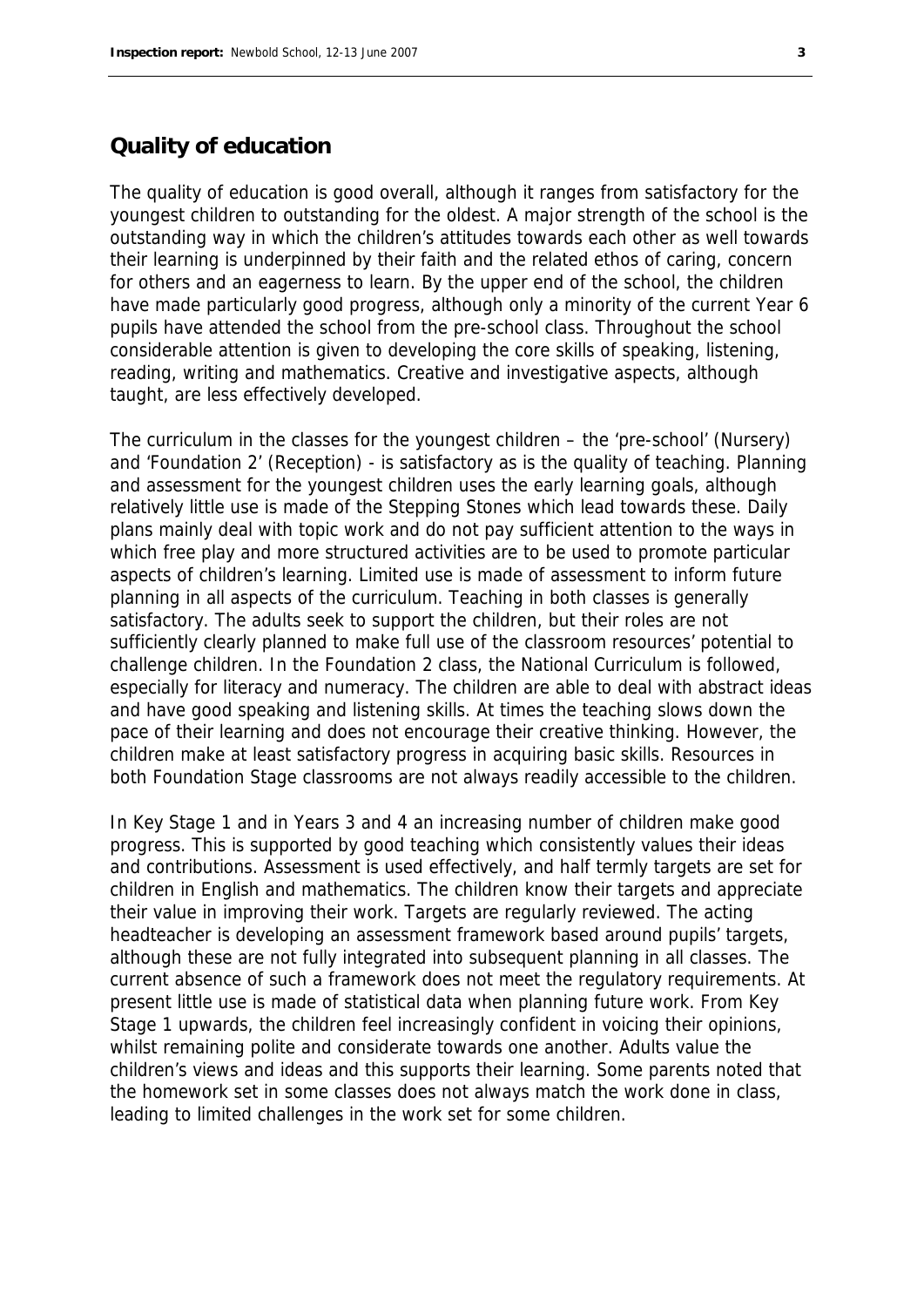#### **Quality of education**

The quality of education is good overall, although it ranges from satisfactory for the youngest children to outstanding for the oldest. A major strength of the school is the outstanding way in which the children's attitudes towards each other as well towards their learning is underpinned by their faith and the related ethos of caring, concern for others and an eagerness to learn. By the upper end of the school, the children have made particularly good progress, although only a minority of the current Year 6 pupils have attended the school from the pre-school class. Throughout the school considerable attention is given to developing the core skills of speaking, listening, reading, writing and mathematics. Creative and investigative aspects, although taught, are less effectively developed.

The curriculum in the classes for the youngest children – the 'pre-school' (Nursery) and 'Foundation 2' (Reception) - is satisfactory as is the quality of teaching. Planning and assessment for the youngest children uses the early learning goals, although relatively little use is made of the Stepping Stones which lead towards these. Daily plans mainly deal with topic work and do not pay sufficient attention to the ways in which free play and more structured activities are to be used to promote particular aspects of children's learning. Limited use is made of assessment to inform future planning in all aspects of the curriculum. Teaching in both classes is generally satisfactory. The adults seek to support the children, but their roles are not sufficiently clearly planned to make full use of the classroom resources' potential to challenge children. In the Foundation 2 class, the National Curriculum is followed, especially for literacy and numeracy. The children are able to deal with abstract ideas and have good speaking and listening skills. At times the teaching slows down the pace of their learning and does not encourage their creative thinking. However, the children make at least satisfactory progress in acquiring basic skills. Resources in both Foundation Stage classrooms are not always readily accessible to the children.

In Key Stage 1 and in Years 3 and 4 an increasing number of children make good progress. This is supported by good teaching which consistently values their ideas and contributions. Assessment is used effectively, and half termly targets are set for children in English and mathematics. The children know their targets and appreciate their value in improving their work. Targets are regularly reviewed. The acting headteacher is developing an assessment framework based around pupils' targets, although these are not fully integrated into subsequent planning in all classes. The current absence of such a framework does not meet the regulatory requirements. At present little use is made of statistical data when planning future work. From Key Stage 1 upwards, the children feel increasingly confident in voicing their opinions, whilst remaining polite and considerate towards one another. Adults value the children's views and ideas and this supports their learning. Some parents noted that the homework set in some classes does not always match the work done in class, leading to limited challenges in the work set for some children.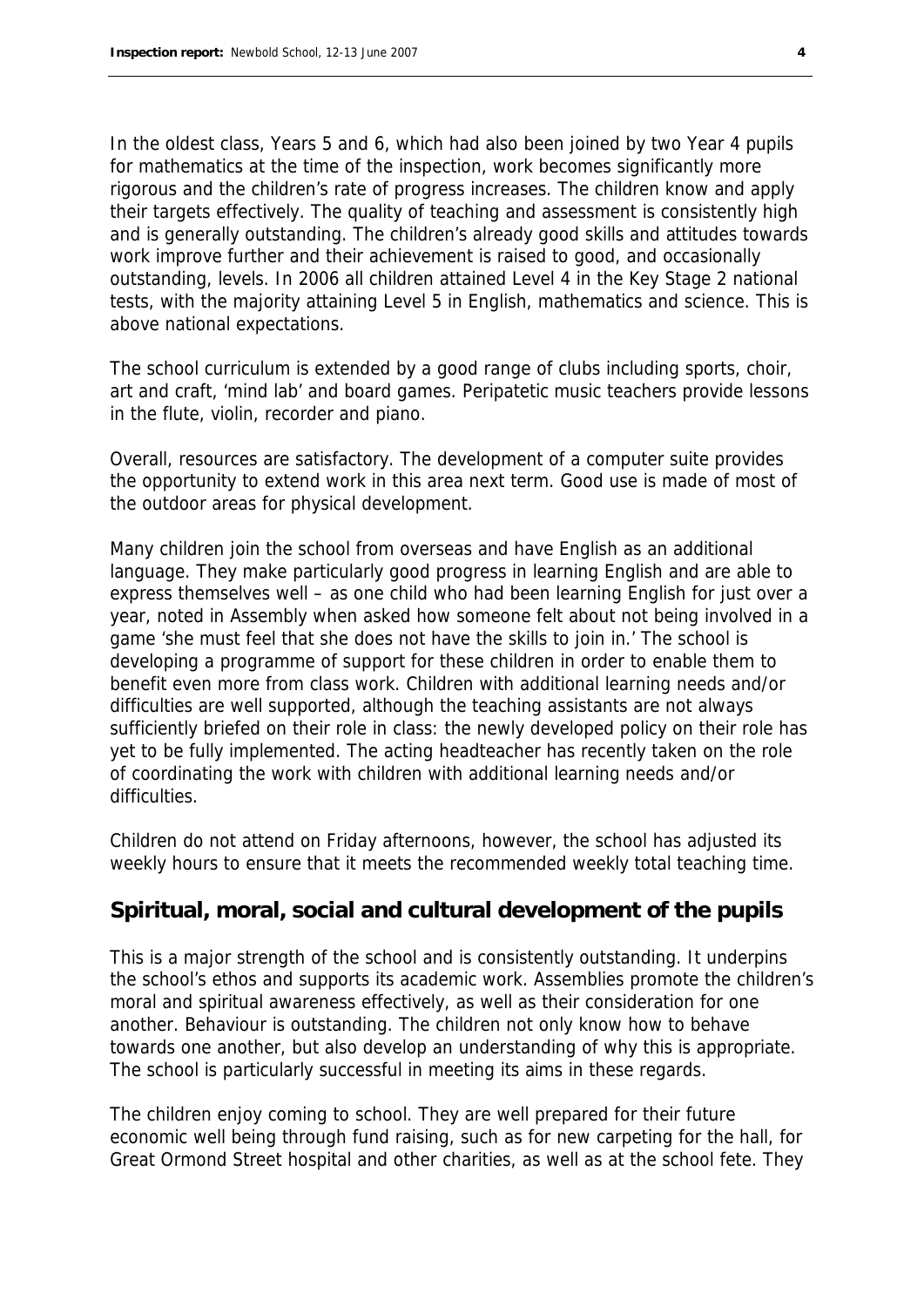In the oldest class, Years 5 and 6, which had also been joined by two Year 4 pupils for mathematics at the time of the inspection, work becomes significantly more rigorous and the children's rate of progress increases. The children know and apply their targets effectively. The quality of teaching and assessment is consistently high and is generally outstanding. The children's already good skills and attitudes towards work improve further and their achievement is raised to good, and occasionally outstanding, levels. In 2006 all children attained Level 4 in the Key Stage 2 national tests, with the majority attaining Level 5 in English, mathematics and science. This is above national expectations.

The school curriculum is extended by a good range of clubs including sports, choir, art and craft, 'mind lab' and board games. Peripatetic music teachers provide lessons in the flute, violin, recorder and piano.

Overall, resources are satisfactory. The development of a computer suite provides the opportunity to extend work in this area next term. Good use is made of most of the outdoor areas for physical development.

Many children join the school from overseas and have English as an additional language. They make particularly good progress in learning English and are able to express themselves well – as one child who had been learning English for just over a year, noted in Assembly when asked how someone felt about not being involved in a game 'she must feel that she does not have the skills to join in.' The school is developing a programme of support for these children in order to enable them to benefit even more from class work. Children with additional learning needs and/or difficulties are well supported, although the teaching assistants are not always sufficiently briefed on their role in class: the newly developed policy on their role has yet to be fully implemented. The acting headteacher has recently taken on the role of coordinating the work with children with additional learning needs and/or difficulties.

Children do not attend on Friday afternoons, however, the school has adjusted its weekly hours to ensure that it meets the recommended weekly total teaching time.

#### **Spiritual, moral, social and cultural development of the pupils**

This is a major strength of the school and is consistently outstanding. It underpins the school's ethos and supports its academic work. Assemblies promote the children's moral and spiritual awareness effectively, as well as their consideration for one another. Behaviour is outstanding. The children not only know how to behave towards one another, but also develop an understanding of why this is appropriate. The school is particularly successful in meeting its aims in these regards.

The children enjoy coming to school. They are well prepared for their future economic well being through fund raising, such as for new carpeting for the hall, for Great Ormond Street hospital and other charities, as well as at the school fete. They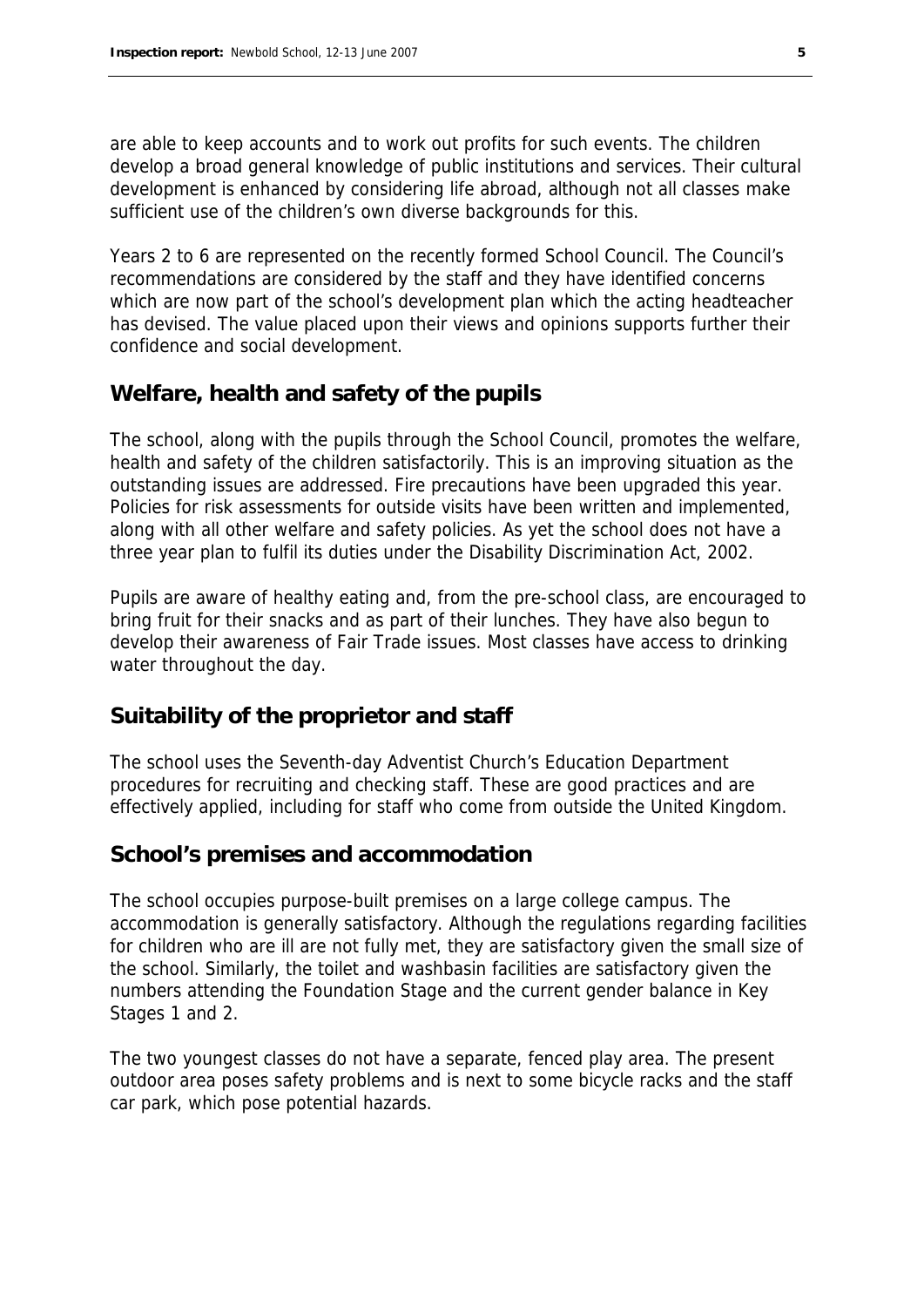are able to keep accounts and to work out profits for such events. The children develop a broad general knowledge of public institutions and services. Their cultural development is enhanced by considering life abroad, although not all classes make sufficient use of the children's own diverse backgrounds for this.

Years 2 to 6 are represented on the recently formed School Council. The Council's recommendations are considered by the staff and they have identified concerns which are now part of the school's development plan which the acting headteacher has devised. The value placed upon their views and opinions supports further their confidence and social development.

#### **Welfare, health and safety of the pupils**

The school, along with the pupils through the School Council, promotes the welfare, health and safety of the children satisfactorily. This is an improving situation as the outstanding issues are addressed. Fire precautions have been upgraded this year. Policies for risk assessments for outside visits have been written and implemented, along with all other welfare and safety policies. As yet the school does not have a three year plan to fulfil its duties under the Disability Discrimination Act, 2002.

Pupils are aware of healthy eating and, from the pre-school class, are encouraged to bring fruit for their snacks and as part of their lunches. They have also begun to develop their awareness of Fair Trade issues. Most classes have access to drinking water throughout the day.

#### **Suitability of the proprietor and staff**

The school uses the Seventh-day Adventist Church's Education Department procedures for recruiting and checking staff. These are good practices and are effectively applied, including for staff who come from outside the United Kingdom.

#### **School's premises and accommodation**

The school occupies purpose-built premises on a large college campus. The accommodation is generally satisfactory. Although the regulations regarding facilities for children who are ill are not fully met, they are satisfactory given the small size of the school. Similarly, the toilet and washbasin facilities are satisfactory given the numbers attending the Foundation Stage and the current gender balance in Key Stages 1 and 2.

The two youngest classes do not have a separate, fenced play area. The present outdoor area poses safety problems and is next to some bicycle racks and the staff car park, which pose potential hazards.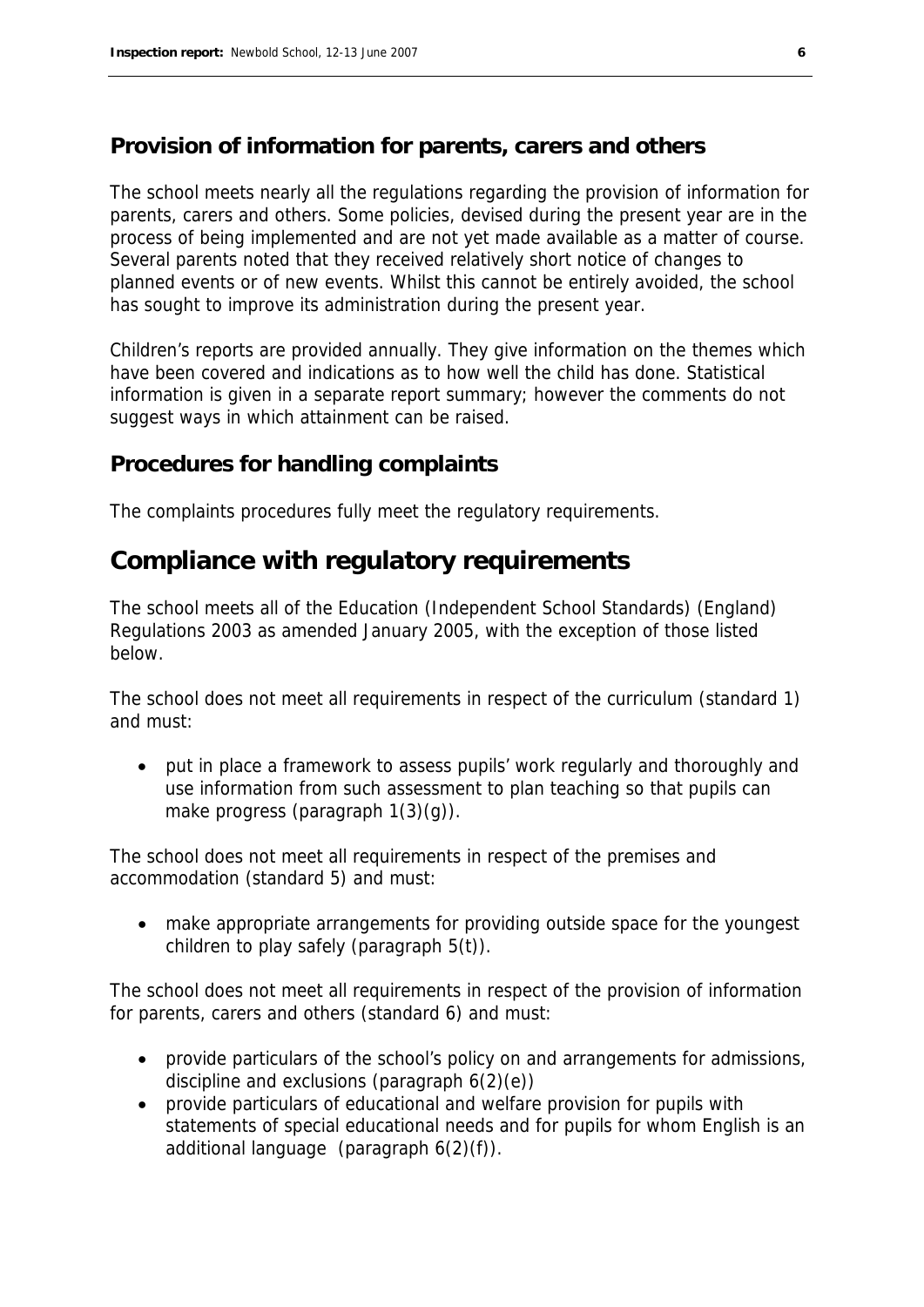#### **Provision of information for parents, carers and others**

The school meets nearly all the regulations regarding the provision of information for parents, carers and others. Some policies, devised during the present year are in the process of being implemented and are not yet made available as a matter of course. Several parents noted that they received relatively short notice of changes to planned events or of new events. Whilst this cannot be entirely avoided, the school has sought to improve its administration during the present year.

Children's reports are provided annually. They give information on the themes which have been covered and indications as to how well the child has done. Statistical information is given in a separate report summary; however the comments do not suggest ways in which attainment can be raised.

#### **Procedures for handling complaints**

The complaints procedures fully meet the regulatory requirements.

#### **Compliance with regulatory requirements**

The school meets all of the Education (Independent School Standards) (England) Regulations 2003 as amended January 2005, with the exception of those listed below.

The school does not meet all requirements in respect of the curriculum (standard 1) and must:

 put in place a framework to assess pupils' work regularly and thoroughly and use information from such assessment to plan teaching so that pupils can make progress (paragraph 1(3)(g)).

The school does not meet all requirements in respect of the premises and accommodation (standard 5) and must:

 make appropriate arrangements for providing outside space for the youngest children to play safely (paragraph 5(t)).

The school does not meet all requirements in respect of the provision of information for parents, carers and others (standard 6) and must:

- provide particulars of the school's policy on and arrangements for admissions, discipline and exclusions (paragraph  $6(2)(e)$ )
- provide particulars of educational and welfare provision for pupils with statements of special educational needs and for pupils for whom English is an additional language (paragraph 6(2)(f)).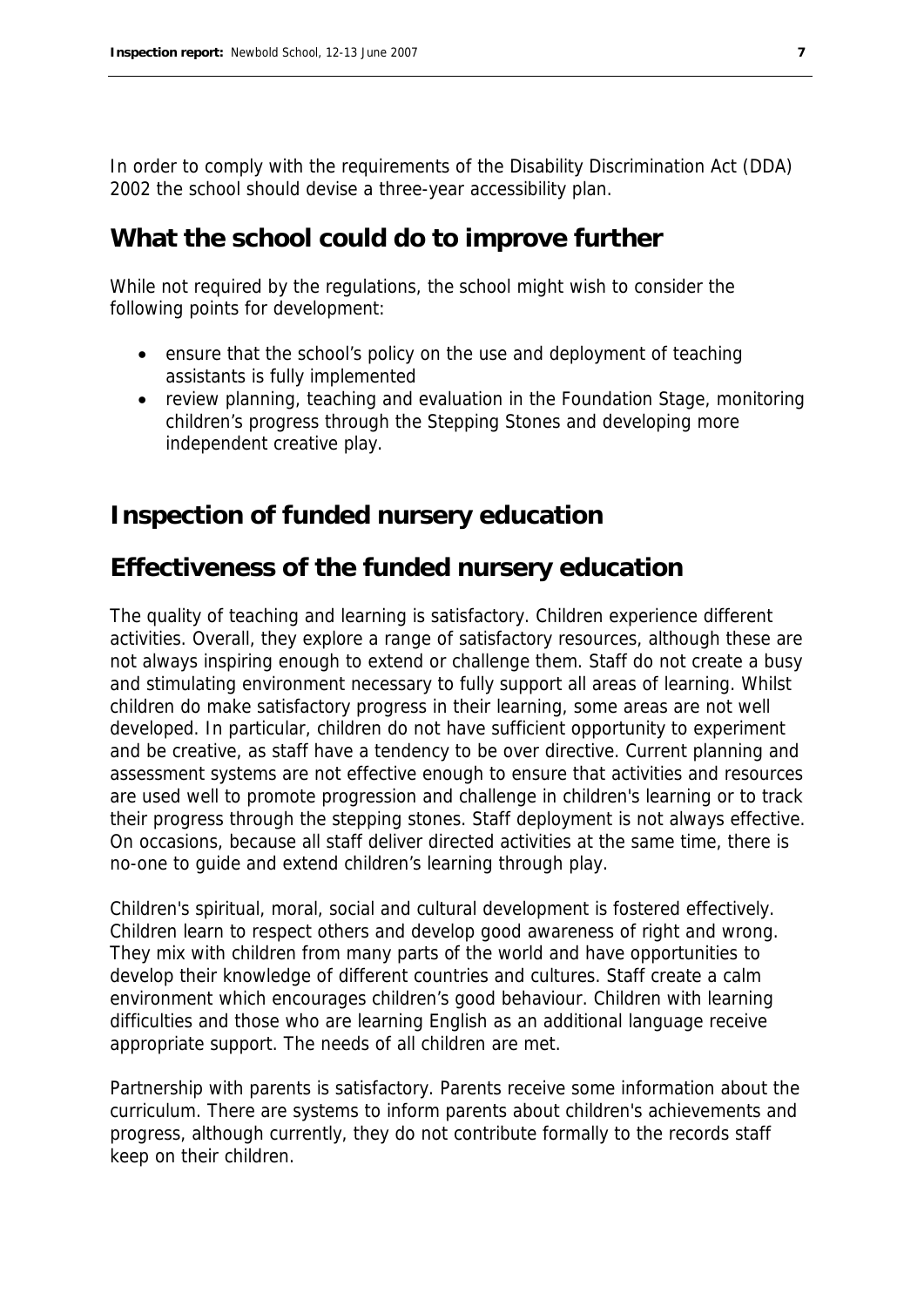In order to comply with the requirements of the Disability Discrimination Act (DDA) 2002 the school should devise a three-year accessibility plan.

### **What the school could do to improve further**

While not required by the regulations, the school might wish to consider the following points for development:

- ensure that the school's policy on the use and deployment of teaching assistants is fully implemented
- review planning, teaching and evaluation in the Foundation Stage, monitoring children's progress through the Stepping Stones and developing more independent creative play.

## **Inspection of funded nursery education**

## **Effectiveness of the funded nursery education**

The quality of teaching and learning is satisfactory. Children experience different activities. Overall, they explore a range of satisfactory resources, although these are not always inspiring enough to extend or challenge them. Staff do not create a busy and stimulating environment necessary to fully support all areas of learning. Whilst children do make satisfactory progress in their learning, some areas are not well developed. In particular, children do not have sufficient opportunity to experiment and be creative, as staff have a tendency to be over directive. Current planning and assessment systems are not effective enough to ensure that activities and resources are used well to promote progression and challenge in children's learning or to track their progress through the stepping stones. Staff deployment is not always effective. On occasions, because all staff deliver directed activities at the same time, there is no-one to guide and extend children's learning through play.

Children's spiritual, moral, social and cultural development is fostered effectively. Children learn to respect others and develop good awareness of right and wrong. They mix with children from many parts of the world and have opportunities to develop their knowledge of different countries and cultures. Staff create a calm environment which encourages children's good behaviour. Children with learning difficulties and those who are learning English as an additional language receive appropriate support. The needs of all children are met.

Partnership with parents is satisfactory. Parents receive some information about the curriculum. There are systems to inform parents about children's achievements and progress, although currently, they do not contribute formally to the records staff keep on their children.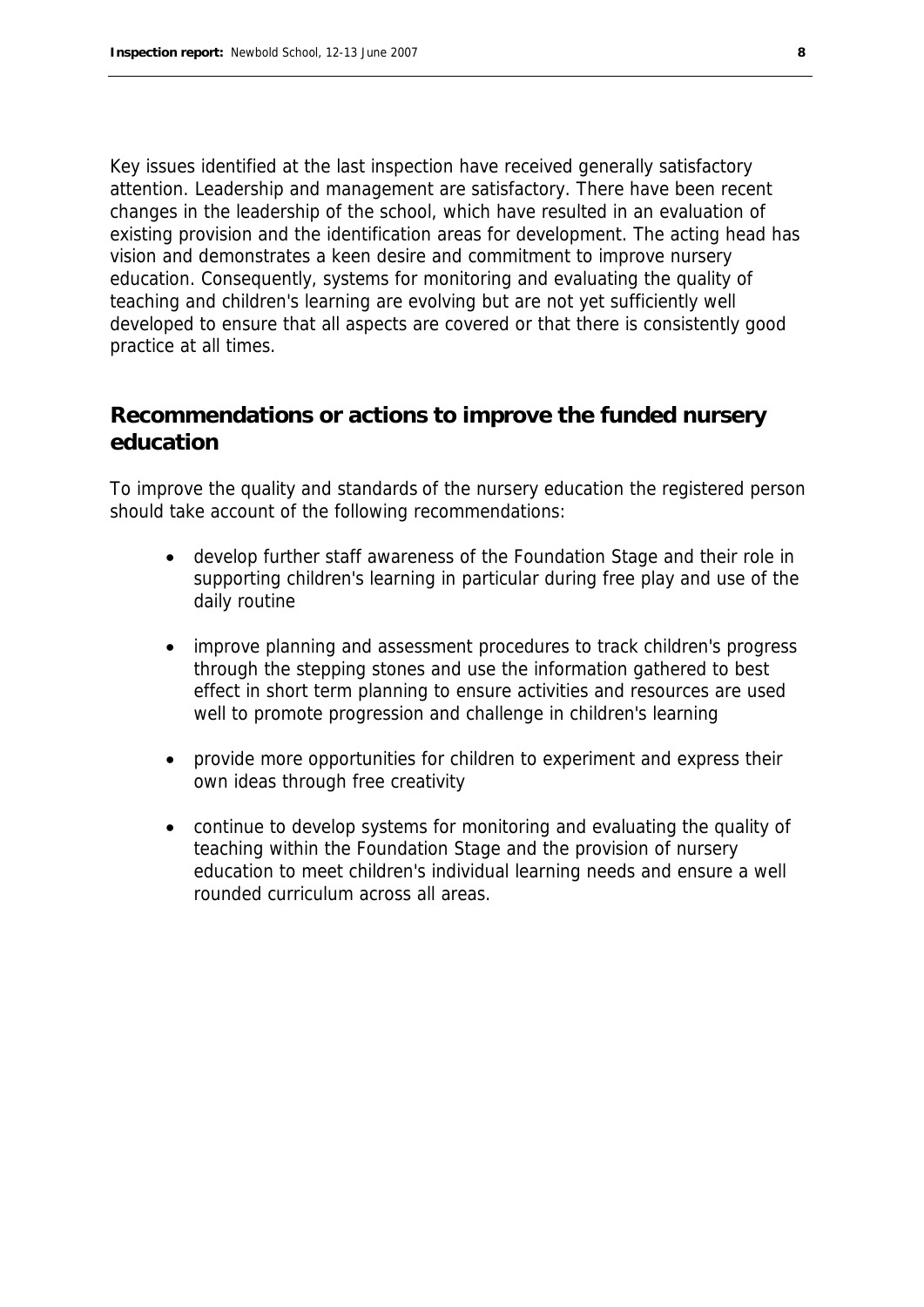Key issues identified at the last inspection have received generally satisfactory attention. Leadership and management are satisfactory. There have been recent changes in the leadership of the school, which have resulted in an evaluation of existing provision and the identification areas for development. The acting head has vision and demonstrates a keen desire and commitment to improve nursery education. Consequently, systems for monitoring and evaluating the quality of teaching and children's learning are evolving but are not yet sufficiently well developed to ensure that all aspects are covered or that there is consistently good practice at all times.

#### **Recommendations or actions to improve the funded nursery education**

To improve the quality and standards of the nursery education the registered person should take account of the following recommendations:

- develop further staff awareness of the Foundation Stage and their role in supporting children's learning in particular during free play and use of the daily routine
- improve planning and assessment procedures to track children's progress through the stepping stones and use the information gathered to best effect in short term planning to ensure activities and resources are used well to promote progression and challenge in children's learning
- provide more opportunities for children to experiment and express their own ideas through free creativity
- continue to develop systems for monitoring and evaluating the quality of teaching within the Foundation Stage and the provision of nursery education to meet children's individual learning needs and ensure a well rounded curriculum across all areas.